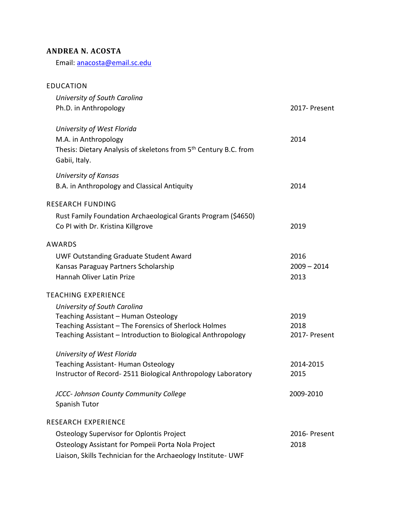## **ANDREA N. ACOSTA**

Email: [anacosta@email.sc.edu](mailto:anacosta@email.sc.edu)

## EDUCATION *University of South Carolina* Ph.D. in Anthropology 2017- Present *University of West Florida* M.A. in Anthropology 2014 Thesis: Dietary Analysis of skeletons from 5<sup>th</sup> Century B.C. from Gabii, Italy. *University of Kansas* B.A. in Anthropology and Classical Antiquity 2014 RESEARCH FUNDING Rust Family Foundation Archaeological Grants Program (\$4650) Co PI with Dr. Kristina Killgrove 2019 AWARDS UWF Outstanding Graduate Student Award 2016 Kansas Paraguay Partners Scholarship 2009 – 2014 Hannah Oliver Latin Prize 2013 TEACHING EXPERIENCE *University of South Carolina* Teaching Assistant – Human Osteology 2019 Teaching Assistant – The Forensics of Sherlock Holmes 2018 Teaching Assistant – Introduction to Biological Anthropology 2017- Present *University of West Florida* Teaching Assistant- Human Osteology 2014-2015 Instructor of Record- 2511 Biological Anthropology Laboratory 2015 *JCCC- Johnson County Community College* 2009-2010 Spanish Tutor RESEARCH EXPERIENCE Osteology Supervisor for Oplontis Project 2016- Present Osteology Assistant for Pompeii Porta Nola Project 2018 Liaison, Skills Technician for the Archaeology Institute- UWF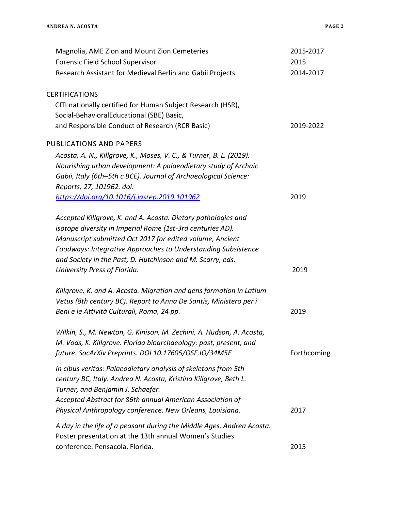| Magnolia, AME Zion and Mount Zion Cemeteries                          | 2015-2017   |
|-----------------------------------------------------------------------|-------------|
| Forensic Field School Supervisor                                      | 2015        |
| Research Assistant for Medieval Berlin and Gabii Projects             | 2014-2017   |
| <b>CERTIFICATIONS</b>                                                 |             |
| CITI nationally certified for Human Subject Research (HSR),           |             |
| Social-BehavioralEducational (SBE) Basic,                             |             |
| and Responsible Conduct of Research (RCR Basic)                       | 2019-2022   |
| PUBLICATIONS AND PAPERS                                               |             |
| Acosta, A. N., Killgrove, K., Moses, V. C., & Turner, B. L. (2019).   |             |
| Nourishing urban development: A palaeodietary study of Archaic        |             |
| Gabii, Italy (6th-5th c BCE). Journal of Archaeological Science:      |             |
| Reports, 27, 101962. doi:                                             |             |
| https://doi.org/10.1016/j.jasrep.2019.101962                          | 2019        |
| Accepted Killgrove, K. and A. Acosta. Dietary pathologies and         |             |
| isotope diversity in Imperial Rome (1st-3rd centuries AD).            |             |
| Manuscript submitted Oct 2017 for edited volume, Ancient              |             |
| Foodways: Integrative Approaches to Understanding Subsistence         |             |
| and Society in the Past, D. Hutchinson and M. Scarry, eds.            |             |
| University Press of Florida.                                          | 2019        |
| Killgrove, K. and A. Acosta. Migration and gens formation in Latium   |             |
| Vetus (8th century BC). Report to Anna De Santis, Ministero per i     |             |
| Beni e le Attività Culturali, Roma, 24 pp.                            | 2019        |
| Wilkin, S., M. Newton, G. Kinison, M. Zechini, A. Hudson, A. Acosta,  |             |
| M. Voas, K. Killgrove. Florida bioarchaeology: past, present, and     |             |
| future. SocArXiv Preprints. DOI 10.17605/OSF.IO/34M5E                 | Forthcoming |
| In cibus veritas: Palaeodietary analysis of skeletons from 5th        |             |
| century BC, Italy. Andrea N. Acosta, Kristina Killgrove, Beth L.      |             |
| Turner, and Benjamin J. Schaefer.                                     |             |
| Accepted Abstract for 86th annual American Association of             |             |
| Physical Anthropology conference. New Orleans, Louisiana.             | 2017        |
| A day in the life of a peasant during the Middle Ages. Andrea Acosta. |             |
| Poster presentation at the 13th annual Women's Studies                |             |
| conference. Pensacola, Florida.                                       | 2015        |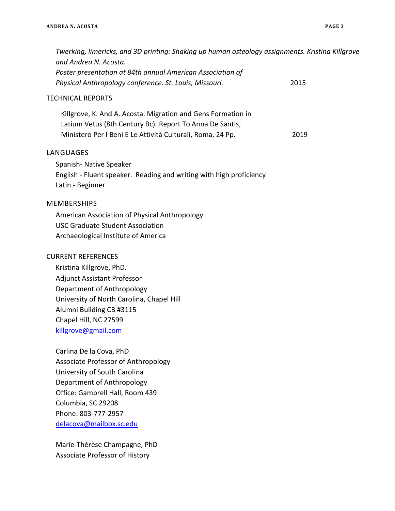| Twerking, limericks, and 3D printing: Shaking up human osteology assignments. Kristina Killgrove<br>and Andrea N. Acosta.<br>Poster presentation at 84th annual American Association of<br>Physical Anthropology conference. St. Louis, Missouri.  | 2015 |
|----------------------------------------------------------------------------------------------------------------------------------------------------------------------------------------------------------------------------------------------------|------|
| <b>TECHNICAL REPORTS</b>                                                                                                                                                                                                                           |      |
| Killgrove, K. And A. Acosta. Migration and Gens Formation in<br>Latium Vetus (8th Century Bc). Report To Anna De Santis,<br>Ministero Per I Beni E Le Attività Culturali, Roma, 24 Pp.                                                             | 2019 |
| LANGUAGES<br>Spanish-Native Speaker<br>English - Fluent speaker. Reading and writing with high proficiency<br>Latin - Beginner                                                                                                                     |      |
| <b>MEMBERSHIPS</b><br>American Association of Physical Anthropology<br><b>USC Graduate Student Association</b><br>Archaeological Institute of America                                                                                              |      |
| <b>CURRENT REFERENCES</b><br>Kristina Killgrove, PhD.<br><b>Adjunct Assistant Professor</b><br>Department of Anthropology<br>University of North Carolina, Chapel Hill<br>Alumni Building CB #3115<br>Chapel Hill, NC 27599<br>killgrove@gmail.com |      |
| Carlina De la Cova, PhD<br><b>Associate Professor of Anthropology</b><br>University of South Carolina<br>Department of Anthropology<br>Office: Gambrell Hall, Room 439<br>Columbia, SC 29208<br>Phone: 803-777-2957<br>delacova@mailbox.sc.edu     |      |
| Marie-Thérèse Champagne, PhD                                                                                                                                                                                                                       |      |

Associate Professor of History